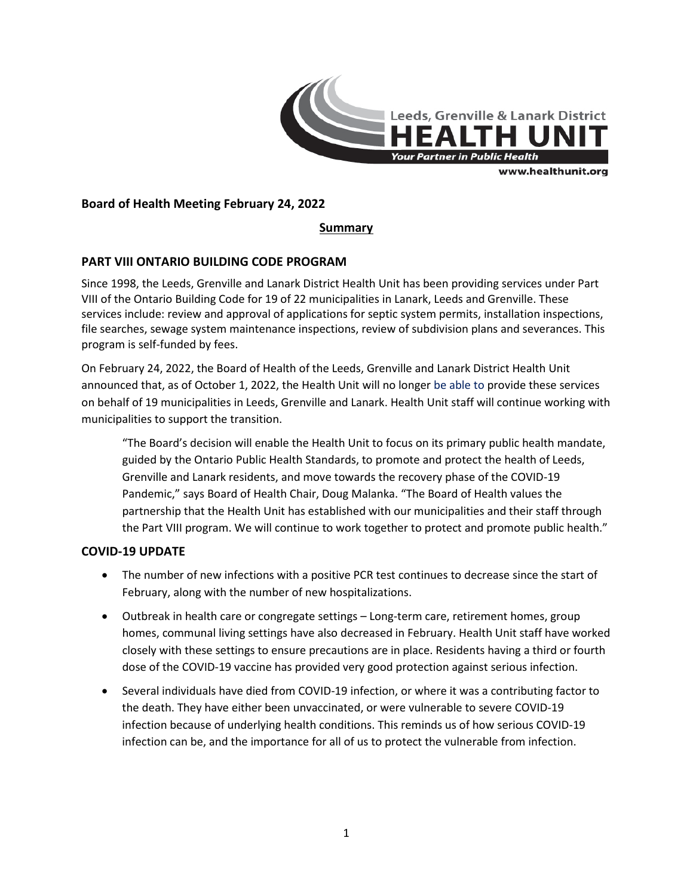

# **Board of Health Meeting February 24, 2022**

# **Summary**

# **PART VIII ONTARIO BUILDING CODE PROGRAM**

Since 1998, the Leeds, Grenville and Lanark District Health Unit has been providing services under Part VIII of the Ontario Building Code for 19 of 22 municipalities in Lanark, Leeds and Grenville. These services include: review and approval of applications for septic system permits, installation inspections, file searches, sewage system maintenance inspections, review of subdivision plans and severances. This program is self-funded by fees.

On February 24, 2022, the Board of Health of the Leeds, Grenville and Lanark District Health Unit announced that, as of October 1, 2022, the Health Unit will no longer be able to provide these services on behalf of 19 municipalities in Leeds, Grenville and Lanark. Health Unit staff will continue working with municipalities to support the transition.

"The Board's decision will enable the Health Unit to focus on its primary public health mandate, guided by the Ontario Public Health Standards, to promote and protect the health of Leeds, Grenville and Lanark residents, and move towards the recovery phase of the COVID-19 Pandemic," says Board of Health Chair, Doug Malanka. "The Board of Health values the partnership that the Health Unit has established with our municipalities and their staff through the Part VIII program. We will continue to work together to protect and promote public health."

### **COVID-19 UPDATE**

- The number of new infections with a positive PCR test continues to decrease since the start of February, along with the number of new hospitalizations.
- Outbreak in health care or congregate settings Long-term care, retirement homes, group homes, communal living settings have also decreased in February. Health Unit staff have worked closely with these settings to ensure precautions are in place. Residents having a third or fourth dose of the COVID-19 vaccine has provided very good protection against serious infection.
- Several individuals have died from COVID-19 infection, or where it was a contributing factor to the death. They have either been unvaccinated, or were vulnerable to severe COVID-19 infection because of underlying health conditions. This reminds us of how serious COVID-19 infection can be, and the importance for all of us to protect the vulnerable from infection.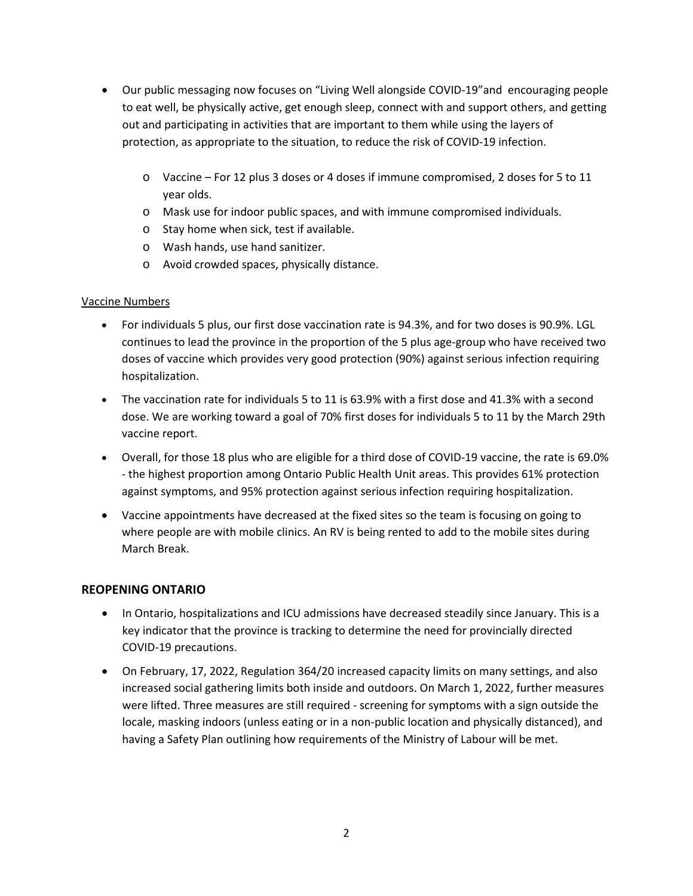- Our public messaging now focuses on "Living Well alongside COVID-19"and encouraging people to eat well, be physically active, get enough sleep, connect with and support others, and getting out and participating in activities that are important to them while using the layers of protection, as appropriate to the situation, to reduce the risk of COVID-19 infection.
	- o Vaccine For 12 plus 3 doses or 4 doses if immune compromised, 2 doses for 5 to 11 year olds.
	- o Mask use for indoor public spaces, and with immune compromised individuals.
	- o Stay home when sick, test if available.
	- o Wash hands, use hand sanitizer.
	- o Avoid crowded spaces, physically distance.

### Vaccine Numbers

- For individuals 5 plus, our first dose vaccination rate is 94.3%, and for two doses is 90.9%. LGL continues to lead the province in the proportion of the 5 plus age-group who have received two doses of vaccine which provides very good protection (90%) against serious infection requiring hospitalization.
- The vaccination rate for individuals 5 to 11 is 63.9% with a first dose and 41.3% with a second dose. We are working toward a goal of 70% first doses for individuals 5 to 11 by the March 29th vaccine report.
- Overall, for those 18 plus who are eligible for a third dose of COVID-19 vaccine, the rate is 69.0% - the highest proportion among Ontario Public Health Unit areas. This provides 61% protection against symptoms, and 95% protection against serious infection requiring hospitalization.
- Vaccine appointments have decreased at the fixed sites so the team is focusing on going to where people are with mobile clinics. An RV is being rented to add to the mobile sites during March Break.

### **REOPENING ONTARIO**

- In Ontario, hospitalizations and ICU admissions have decreased steadily since January. This is a key indicator that the province is tracking to determine the need for provincially directed COVID-19 precautions.
- On February, 17, 2022, Regulation 364/20 increased capacity limits on many settings, and also increased social gathering limits both inside and outdoors. On March 1, 2022, further measures were lifted. Three measures are still required - screening for symptoms with a sign outside the locale, masking indoors (unless eating or in a non-public location and physically distanced), and having a Safety Plan outlining how requirements of the Ministry of Labour will be met.